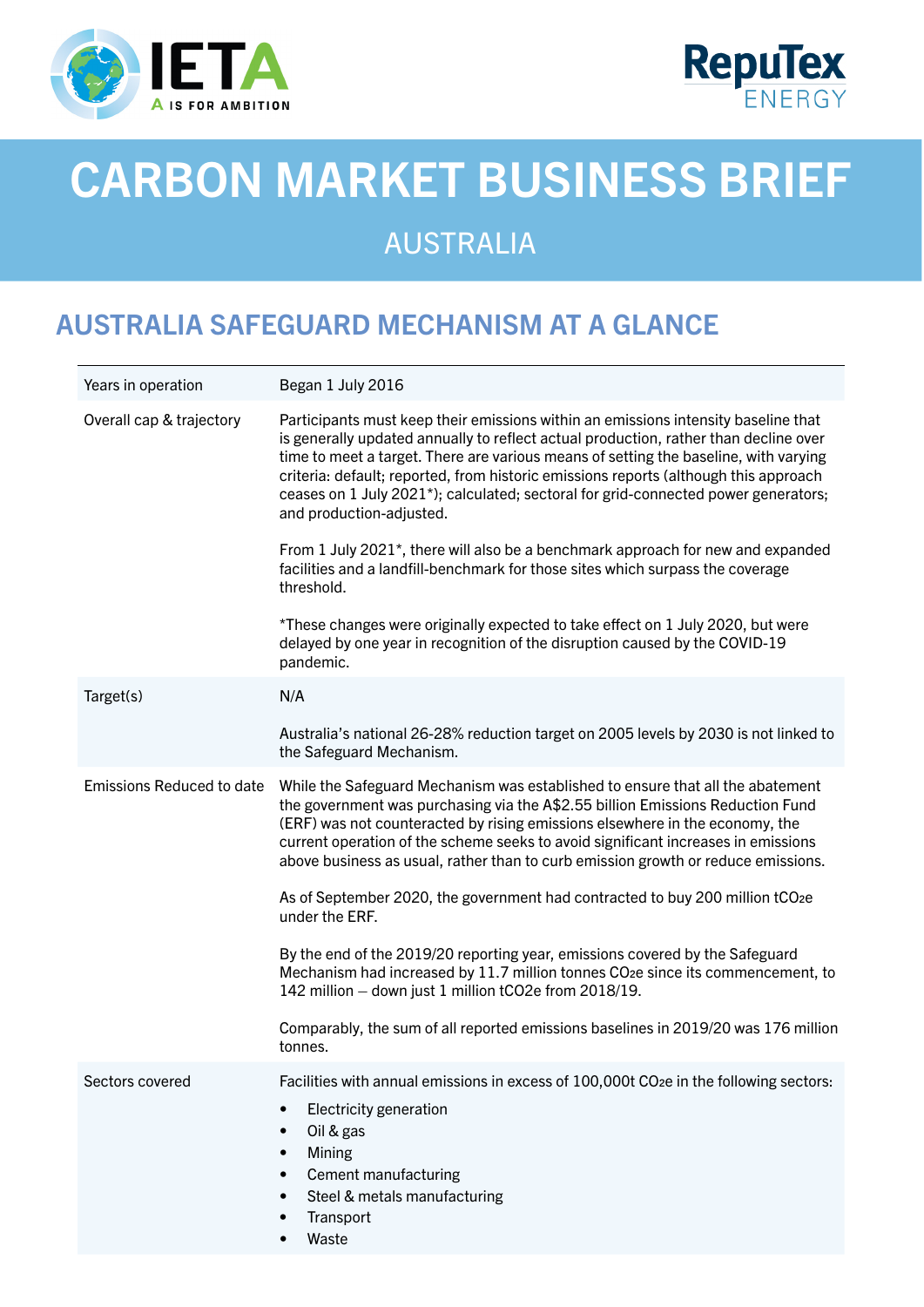



# CARBON MARKET BUSINESS BRIEF

# AUSTRALIA

## AUSTRALIA SAFEGUARD MECHANISM AT A GLANCE

| Years in operation               | Began 1 July 2016                                                                                                                                                                                                                                                                                                                                                                                                                                                                                                                                                                                                                                                                                                                                                                                                                              |
|----------------------------------|------------------------------------------------------------------------------------------------------------------------------------------------------------------------------------------------------------------------------------------------------------------------------------------------------------------------------------------------------------------------------------------------------------------------------------------------------------------------------------------------------------------------------------------------------------------------------------------------------------------------------------------------------------------------------------------------------------------------------------------------------------------------------------------------------------------------------------------------|
| Overall cap & trajectory         | Participants must keep their emissions within an emissions intensity baseline that<br>is generally updated annually to reflect actual production, rather than decline over<br>time to meet a target. There are various means of setting the baseline, with varying<br>criteria: default; reported, from historic emissions reports (although this approach<br>ceases on 1 July 2021*); calculated; sectoral for grid-connected power generators;<br>and production-adjusted.<br>From 1 July 2021*, there will also be a benchmark approach for new and expanded<br>facilities and a landfill-benchmark for those sites which surpass the coverage<br>threshold.<br>*These changes were originally expected to take effect on 1 July 2020, but were<br>delayed by one year in recognition of the disruption caused by the COVID-19<br>pandemic. |
| Target(s)                        | N/A                                                                                                                                                                                                                                                                                                                                                                                                                                                                                                                                                                                                                                                                                                                                                                                                                                            |
|                                  | Australia's national 26-28% reduction target on 2005 levels by 2030 is not linked to<br>the Safeguard Mechanism.                                                                                                                                                                                                                                                                                                                                                                                                                                                                                                                                                                                                                                                                                                                               |
| <b>Emissions Reduced to date</b> | While the Safeguard Mechanism was established to ensure that all the abatement<br>the government was purchasing via the A\$2.55 billion Emissions Reduction Fund<br>(ERF) was not counteracted by rising emissions elsewhere in the economy, the<br>current operation of the scheme seeks to avoid significant increases in emissions<br>above business as usual, rather than to curb emission growth or reduce emissions.<br>As of September 2020, the government had contracted to buy 200 million tCO2e<br>under the ERF.                                                                                                                                                                                                                                                                                                                   |
|                                  | By the end of the 2019/20 reporting year, emissions covered by the Safeguard<br>Mechanism had increased by 11.7 million tonnes CO <sub>2</sub> e since its commencement, to<br>142 million - down just 1 million tCO2e from 2018/19.                                                                                                                                                                                                                                                                                                                                                                                                                                                                                                                                                                                                           |
|                                  | Comparably, the sum of all reported emissions baselines in 2019/20 was 176 million<br>tonnes.                                                                                                                                                                                                                                                                                                                                                                                                                                                                                                                                                                                                                                                                                                                                                  |
| Sectors covered                  | Facilities with annual emissions in excess of 100,000t CO <sub>2</sub> e in the following sectors:<br>Electricity generation<br>$\bullet$<br>Oil & gas<br>٠<br>Mining<br>Cement manufacturing<br>$\bullet$<br>Steel & metals manufacturing<br>٠<br>Transport<br>Waste                                                                                                                                                                                                                                                                                                                                                                                                                                                                                                                                                                          |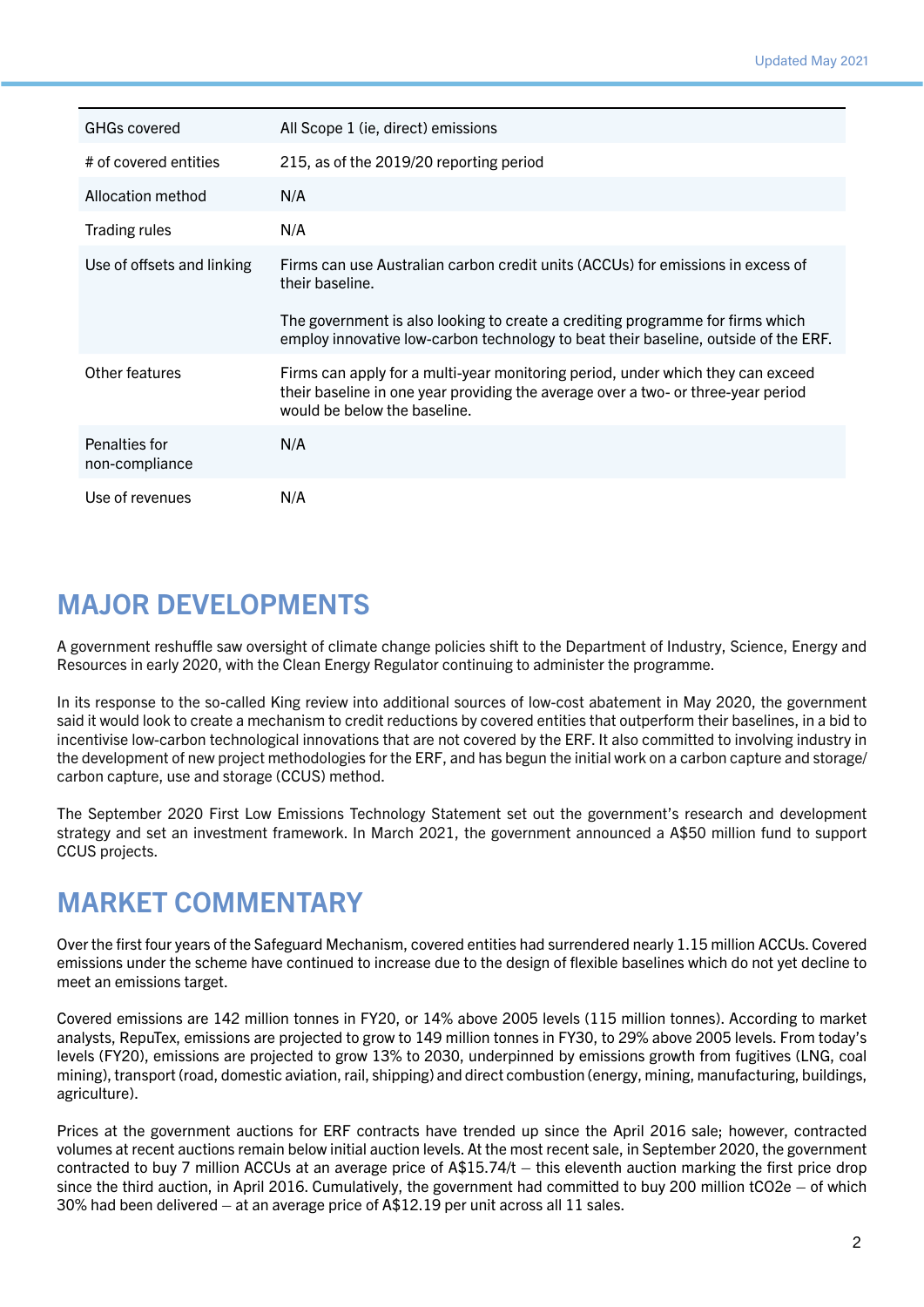| <b>GHGs covered</b>             | All Scope 1 (ie, direct) emissions                                                                                                                                                                   |
|---------------------------------|------------------------------------------------------------------------------------------------------------------------------------------------------------------------------------------------------|
| # of covered entities           | 215, as of the 2019/20 reporting period                                                                                                                                                              |
| Allocation method               | N/A                                                                                                                                                                                                  |
| <b>Trading rules</b>            | N/A                                                                                                                                                                                                  |
| Use of offsets and linking      | Firms can use Australian carbon credit units (ACCUs) for emissions in excess of<br>their baseline.                                                                                                   |
|                                 | The government is also looking to create a crediting programme for firms which<br>employ innovative low-carbon technology to beat their baseline, outside of the ERF.                                |
| Other features                  | Firms can apply for a multi-year monitoring period, under which they can exceed<br>their baseline in one year providing the average over a two- or three-year period<br>would be below the baseline. |
| Penalties for<br>non-compliance | N/A                                                                                                                                                                                                  |
| Use of revenues                 | N/A                                                                                                                                                                                                  |

#### MAJOR DEVELOPMENTS

A government reshuffle saw oversight of climate change policies shift to the Department of Industry, Science, Energy and Resources in early 2020, with the Clean Energy Regulator continuing to administer the programme.

In its response to the so-called King review into additional sources of low-cost abatement in May 2020, the government said it would look to create a mechanism to credit reductions by covered entities that outperform their baselines, in a bid to incentivise low-carbon technological innovations that are not covered by the ERF. It also committed to involving industry in the development of new project methodologies for the ERF, and has begun the initial work on a carbon capture and storage/ carbon capture, use and storage (CCUS) method.

The September 2020 First Low Emissions Technology Statement set out the government's research and development strategy and set an investment framework. In March 2021, the government announced a A\$50 million fund to support CCUS projects.

### MARKET COMMENTARY

Over the first four years of the Safeguard Mechanism, covered entities had surrendered nearly 1.15 million ACCUs. Covered emissions under the scheme have continued to increase due to the design of flexible baselines which do not yet decline to meet an emissions target.

Covered emissions are 142 million tonnes in FY20, or 14% above 2005 levels (115 million tonnes). According to market analysts, RepuTex, emissions are projected to grow to 149 million tonnes in FY30, to 29% above 2005 levels. From today's levels (FY20), emissions are projected to grow 13% to 2030, underpinned by emissions growth from fugitives (LNG, coal mining), transport (road, domestic aviation, rail, shipping) and direct combustion (energy, mining, manufacturing, buildings, agriculture).

Prices at the government auctions for ERF contracts have trended up since the April 2016 sale; however, contracted volumes at recent auctions remain below initial auction levels. At the most recent sale, in September 2020, the government contracted to buy 7 million ACCUs at an average price of  $A$15.74/t - this$  eventh auction marking the first price drop since the third auction, in April 2016. Cumulatively, the government had committed to buy 200 million tCO2e – of which 30% had been delivered – at an average price of A\$12.19 per unit across all 11 sales.